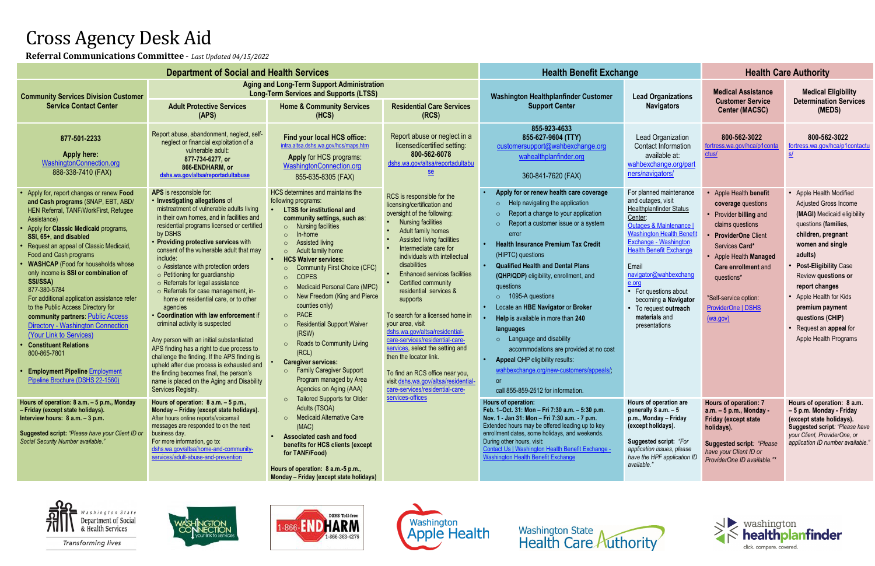# Cross Agency Desk Aid

| Referral Communications Committee - Last Updated 04/15/2022                                                                                                                                                                                                                                                                                                                                                                                                                                                                                                                                                                                                                                                                |                                                                                                                                                                                                                                                                                                                                                                                                                                                                                                                                                                                                                                                                                                                                                                                                                                                                                                                    |                                                                                                                                                                                                                                                                                                                                                                                                                                                                                                                                                                                                                                                                                               |                                                                                                                                                                                                                                                                                                                                                                                                                                                                                                                                                                                                                                                                                      |                                                                                                                                                                                                                                                                                                                                                                                                                                                                                                                                                                                                                                                                                                   |                                                                                                                                                                                                                                                                                                                                                                        |                                                                                                                                                                                                                                                                     |                                                                                                                                                                                                                                                                                                                                                         |
|----------------------------------------------------------------------------------------------------------------------------------------------------------------------------------------------------------------------------------------------------------------------------------------------------------------------------------------------------------------------------------------------------------------------------------------------------------------------------------------------------------------------------------------------------------------------------------------------------------------------------------------------------------------------------------------------------------------------------|--------------------------------------------------------------------------------------------------------------------------------------------------------------------------------------------------------------------------------------------------------------------------------------------------------------------------------------------------------------------------------------------------------------------------------------------------------------------------------------------------------------------------------------------------------------------------------------------------------------------------------------------------------------------------------------------------------------------------------------------------------------------------------------------------------------------------------------------------------------------------------------------------------------------|-----------------------------------------------------------------------------------------------------------------------------------------------------------------------------------------------------------------------------------------------------------------------------------------------------------------------------------------------------------------------------------------------------------------------------------------------------------------------------------------------------------------------------------------------------------------------------------------------------------------------------------------------------------------------------------------------|--------------------------------------------------------------------------------------------------------------------------------------------------------------------------------------------------------------------------------------------------------------------------------------------------------------------------------------------------------------------------------------------------------------------------------------------------------------------------------------------------------------------------------------------------------------------------------------------------------------------------------------------------------------------------------------|---------------------------------------------------------------------------------------------------------------------------------------------------------------------------------------------------------------------------------------------------------------------------------------------------------------------------------------------------------------------------------------------------------------------------------------------------------------------------------------------------------------------------------------------------------------------------------------------------------------------------------------------------------------------------------------------------|------------------------------------------------------------------------------------------------------------------------------------------------------------------------------------------------------------------------------------------------------------------------------------------------------------------------------------------------------------------------|---------------------------------------------------------------------------------------------------------------------------------------------------------------------------------------------------------------------------------------------------------------------|---------------------------------------------------------------------------------------------------------------------------------------------------------------------------------------------------------------------------------------------------------------------------------------------------------------------------------------------------------|
| <b>Department of Social and Health Services</b>                                                                                                                                                                                                                                                                                                                                                                                                                                                                                                                                                                                                                                                                            |                                                                                                                                                                                                                                                                                                                                                                                                                                                                                                                                                                                                                                                                                                                                                                                                                                                                                                                    |                                                                                                                                                                                                                                                                                                                                                                                                                                                                                                                                                                                                                                                                                               |                                                                                                                                                                                                                                                                                                                                                                                                                                                                                                                                                                                                                                                                                      | <b>Health Benefit Exchange</b>                                                                                                                                                                                                                                                                                                                                                                                                                                                                                                                                                                                                                                                                    |                                                                                                                                                                                                                                                                                                                                                                        | <b>Health Care Authority</b>                                                                                                                                                                                                                                        |                                                                                                                                                                                                                                                                                                                                                         |
| <b>Community Services Division Customer</b><br><b>Service Contact Center</b>                                                                                                                                                                                                                                                                                                                                                                                                                                                                                                                                                                                                                                               | <b>Aging and Long-Term Support Administration</b><br><b>Long-Term Services and Supports (LTSS)</b><br><b>Adult Protective Services</b><br><b>Home &amp; Community Services</b>                                                                                                                                                                                                                                                                                                                                                                                                                                                                                                                                                                                                                                                                                                                                     |                                                                                                                                                                                                                                                                                                                                                                                                                                                                                                                                                                                                                                                                                               | <b>Residential Care Services</b>                                                                                                                                                                                                                                                                                                                                                                                                                                                                                                                                                                                                                                                     | <b>Washington Healthplanfinder Customer</b><br><b>Support Center</b>                                                                                                                                                                                                                                                                                                                                                                                                                                                                                                                                                                                                                              | <b>Lead Organizations</b><br><b>Navigators</b>                                                                                                                                                                                                                                                                                                                         | <b>Medical Assistance</b><br><b>Customer Service</b><br><b>Center (MACSC)</b>                                                                                                                                                                                       | <b>Medical Eligibility</b><br><b>Determination Services</b><br>(MEDS)                                                                                                                                                                                                                                                                                   |
|                                                                                                                                                                                                                                                                                                                                                                                                                                                                                                                                                                                                                                                                                                                            | (APS)                                                                                                                                                                                                                                                                                                                                                                                                                                                                                                                                                                                                                                                                                                                                                                                                                                                                                                              | (HCS)                                                                                                                                                                                                                                                                                                                                                                                                                                                                                                                                                                                                                                                                                         | (RCS)                                                                                                                                                                                                                                                                                                                                                                                                                                                                                                                                                                                                                                                                                |                                                                                                                                                                                                                                                                                                                                                                                                                                                                                                                                                                                                                                                                                                   |                                                                                                                                                                                                                                                                                                                                                                        |                                                                                                                                                                                                                                                                     |                                                                                                                                                                                                                                                                                                                                                         |
| 877-501-2233<br><b>Apply here:</b><br>WashingtonConnection.org<br>888-338-7410 (FAX)                                                                                                                                                                                                                                                                                                                                                                                                                                                                                                                                                                                                                                       | Report abuse, abandonment, neglect, self-<br>neglect or financial exploitation of a<br>vulnerable adult:<br>877-734-6277, or<br>866-ENDHARM, or<br>dshs.wa.gov/altsa/reportadultabuse                                                                                                                                                                                                                                                                                                                                                                                                                                                                                                                                                                                                                                                                                                                              | Find your local HCS office:<br>intra.altsa.dshs.wa.gov/hcs/maps.htm<br><b>Apply for HCS programs:</b><br>WashingtonConnection.org<br>855-635-8305 (FAX)                                                                                                                                                                                                                                                                                                                                                                                                                                                                                                                                       | Report abuse or neglect in a<br>licensed/certified setting:<br>800-562-6078<br>dshs.wa.gov/altsa/reportadultabu<br>$s$ e                                                                                                                                                                                                                                                                                                                                                                                                                                                                                                                                                             | 855-923-4633<br>855-627-9604 (TTY)<br>customersupport@wahbexchange.org<br>wahealthplanfinder.org<br>360-841-7620 (FAX)                                                                                                                                                                                                                                                                                                                                                                                                                                                                                                                                                                            | Lead Organization<br><b>Contact Information</b><br>available at:<br>wahbexchange.org/part<br>ners/navigators/                                                                                                                                                                                                                                                          | 800-562-3022<br>fortress.wa.gov/hca/p1cont<br>ctus/                                                                                                                                                                                                                 | 800-562-3022<br>fortress.wa.gov/hca/p1contactu                                                                                                                                                                                                                                                                                                          |
| Apply for, report changes or renew Food<br>and Cash programs (SNAP, EBT, ABD/<br>HEN Referral, TANF/WorkFirst, Refugee<br>Assistance)<br>Apply for Classic Medicaid programs,<br>SSI, 65+, and disabled<br>Request an appeal of Classic Medicaid,<br>Food and Cash programs<br><b>WASHCAP</b> (Food for households whose<br>only income is SSI or combination of<br>SSI/SSA)<br>877-380-5784<br>For additional application assistance refer<br>to the Public Access Directory for<br>community partners: Public Access<br><b>Directory - Washington Connection</b><br>(Your Link to Services)<br><b>Constituent Relations</b><br>800-865-7801<br><b>Employment Pipeline Employment</b><br>Pipeline Brochure (DSHS 22-1560) | APS is responsible for:<br>• Investigating allegations of<br>mistreatment of vulnerable adults living<br>in their own homes, and in facilities and<br>residential programs licensed or certified<br>by DSHS<br>• Providing protective services with<br>consent of the vulnerable adult that may<br>include:<br>$\circ$ Assistance with protection orders<br>$\circ$ Petitioning for guardianship<br>o Referrals for legal assistance<br>o Referrals for case management, in-<br>home or residential care, or to other<br>agencies<br>• Coordination with law enforcement if<br>criminal activity is suspected<br>Any person with an initial substantiated<br>APS finding has a right to due process to<br>challenge the finding. If the APS finding is<br>upheld after due process is exhausted and<br>the finding becomes final, the person's<br>name is placed on the Aging and Disability<br>Services Registry. | HCS determines and maintains the<br>following programs:<br><b>LTSS for institutional and</b><br>community settings, such as:<br>$\circ$ Nursing facilities<br>In-home<br>$\Omega$<br><b>Assisted living</b><br>o Adult family home<br><b>HCS Waiver services:</b><br>Community First Choice (CFC)<br><b>COPES</b><br><b>Medicaid Personal Care (MPC)</b><br>$\circ$<br>New Freedom (King and Pierce<br>$\circ$<br>counties only)<br><b>PACE</b><br>$\circ$<br><b>Residential Support Waiver</b><br>$\circ$<br>(RSW)<br><b>Roads to Community Living</b><br>$\circ$<br>(RCL)<br><b>Caregiver services:</b><br>o Family Caregiver Support<br>Program managed by Area<br>Agencies on Aging (AAA) | RCS is responsible for the<br>licensing/certification and<br>oversight of the following:<br><b>Nursing facilities</b><br>Adult family homes<br>Assisted living facilities<br>Intermediate care for<br>individuals with intellectual<br>disabilities<br><b>Enhanced services facilities</b><br>Certified community<br>residential services &<br>supports<br>To search for a licensed home in<br>your area, visit<br>dshs.wa.gov/altsa/residential-<br>care-services/residential-care-<br>services, select the setting and<br>then the locator link.<br>To find an RCS office near you,<br>visit dshs.wa.gov/altsa/residential-<br>care-services/residential-care-<br>services-offices | Apply for or renew health care coverage<br>$\circ$ Help navigating the application<br>Report a change to your application<br>$\circ$<br>Report a customer issue or a system<br>$\circ$<br>error<br><b>Health Insurance Premium Tax Credit</b><br>(HIPTC) questions<br><b>Qualified Health and Dental Plans</b><br>(QHP/QDP) eligibility, enrollment, and<br>questions<br>$\circ$ 1095-A questions<br>Locate an HBE Navigator or Broker<br>Help is available in more than 240<br>languages<br>$\circ$ Language and disability<br>accommodations are provided at no cost<br>Appeal QHP eligibility results:<br>wahbexchange.org/new-customers/appeals/,<br>or<br>call 855-859-2512 for information. | For planned maintenance<br>and outages, visit<br>Healthplanfinder Status<br>Center:<br><b>Outages &amp; Maintenance</b><br><b>Washington Health Bene</b><br>Exchange - Washington<br><b>Health Benefit Exchange</b><br>Email<br>navigator@wahbexchang<br>e.org<br>For questions about<br>becoming a Navigator<br>To request outreach<br>materials and<br>presentations | • Apple Health benefit<br>coverage questions<br>• Provider billing and<br>claims questions<br>• ProviderOne Client<br>Services Card*<br>Apple Health Managed<br><b>Care enrollment and</b><br>questions*<br>*Self-service option:<br>ProviderOne   DSHS<br>(wa.gov) | Apple Health Modified<br>Adjusted Gross Income<br>(MAGI) Medicaid eligibility<br>questions (families,<br>children, pregnant<br>women and single<br>adults)<br><b>Post-Eligibility Case</b><br>Review questions or<br>report changes<br>• Apple Health for Kids<br>premium payment<br>questions (CHIP)<br>Request an appeal for<br>Apple Health Programs |
| Hours of operation: 8 a.m. - 5 p.m., Monday<br>- Friday (except state holidays).<br>Interview hours: 8 a.m. - 3 p.m.<br>Suggested script: "Please have your Client ID or<br>Social Security Number available.'                                                                                                                                                                                                                                                                                                                                                                                                                                                                                                             | Hours of operation: 8 a.m. - 5 p.m.,<br>Monday - Friday (except state holidays).<br>After hours online reports/voicemail<br>messages are responded to on the next<br>business day.<br>For more information, go to:<br>dshs.wa.gov/altsa/home-and-community-<br>services/adult-abuse-and-prevention                                                                                                                                                                                                                                                                                                                                                                                                                                                                                                                                                                                                                 | <b>Tailored Supports for Older</b><br>$\circ$<br>Adults (TSOA)<br>o Medicaid Alternative Care<br>(MAC)<br><b>Associated cash and food</b><br>benefits for HCS clients (except<br>for TANF/Food)<br>Hours of operation: 8 a.m.-5 p.m.,<br>Monday - Friday (except state holidays)                                                                                                                                                                                                                                                                                                                                                                                                              |                                                                                                                                                                                                                                                                                                                                                                                                                                                                                                                                                                                                                                                                                      | Hours of operation:<br>Feb. 1-Oct. 31: Mon - Fri 7:30 a.m. - 5:30 p.m.<br>Nov. 1 - Jan 31: Mon - Fri 7:30 a.m. - 7 p.m.<br>Extended hours may be offered leading up to key<br>enrollment dates, some holidays, and weekends.<br>During other hours, visit:<br>Contact Us   Washington Health Benefit Exchange -<br><b>Washington Health Benefit Exchange</b>                                                                                                                                                                                                                                                                                                                                      | Hours of operation are<br>generally 8 a.m. - 5<br>p.m., Monday - Friday<br>(except holidays).<br><b>Suggested script: "For</b><br>application issues, please<br>have the HPF application ID<br>available."                                                                                                                                                             | <b>Hours of operation: 7</b><br>a.m. - 5 p.m., Monday -<br><b>Friday (except state</b><br>holidays).<br><b>Suggested script: "Please</b><br>have your Client ID or<br>ProviderOne ID available."*                                                                   | Hours of operation: 8 a.m.<br>- 5 p.m. Monday - Friday<br>(except state holidays).<br>Suggested script: "Please have<br>your Client, ProviderOne, or<br>application ID number available.                                                                                                                                                                |











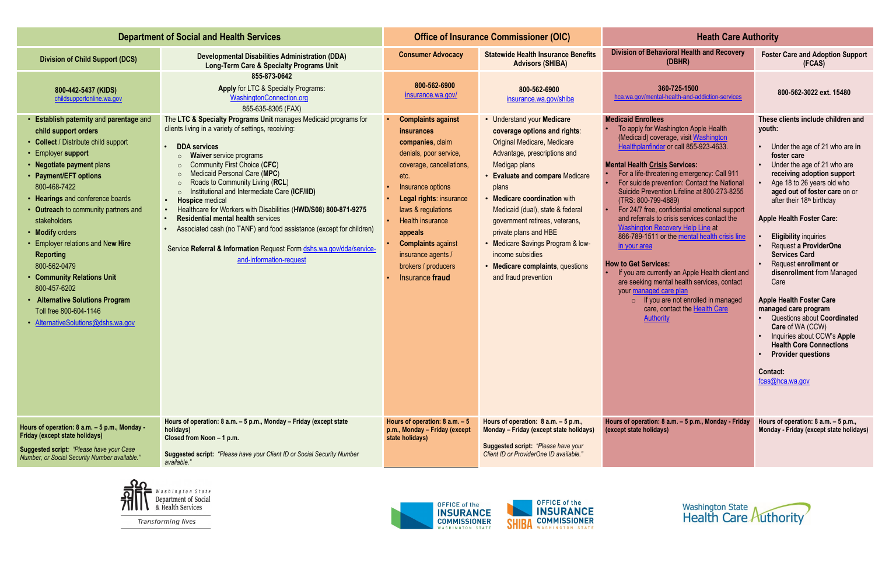| <b>Department of Social and Health Services</b>                                                                                                                                                                                                                                                                                                                                                                                                                                                                                              |                                                                                                                                                                                                                                                                                                                                                                                                                                                                                                                                                                                                                                                                                                                       | <b>Office of Insurance Commissioner (OIC)</b>                                                                                                                                                                                                                                                                               |                                                                                                                                                                                                                                                                                                                                                                                                                                                                | <b>Heath Care Authority</b>                                                                                                                                                                                                                                                                                                                                                                                                                                                                                                                                                                                                                                                                                                                                                                                                                  |                                                                                                                                                                                                                                                                                                                                                                                                                                                                                                                                                                                                                                                                                                          |
|----------------------------------------------------------------------------------------------------------------------------------------------------------------------------------------------------------------------------------------------------------------------------------------------------------------------------------------------------------------------------------------------------------------------------------------------------------------------------------------------------------------------------------------------|-----------------------------------------------------------------------------------------------------------------------------------------------------------------------------------------------------------------------------------------------------------------------------------------------------------------------------------------------------------------------------------------------------------------------------------------------------------------------------------------------------------------------------------------------------------------------------------------------------------------------------------------------------------------------------------------------------------------------|-----------------------------------------------------------------------------------------------------------------------------------------------------------------------------------------------------------------------------------------------------------------------------------------------------------------------------|----------------------------------------------------------------------------------------------------------------------------------------------------------------------------------------------------------------------------------------------------------------------------------------------------------------------------------------------------------------------------------------------------------------------------------------------------------------|----------------------------------------------------------------------------------------------------------------------------------------------------------------------------------------------------------------------------------------------------------------------------------------------------------------------------------------------------------------------------------------------------------------------------------------------------------------------------------------------------------------------------------------------------------------------------------------------------------------------------------------------------------------------------------------------------------------------------------------------------------------------------------------------------------------------------------------------|----------------------------------------------------------------------------------------------------------------------------------------------------------------------------------------------------------------------------------------------------------------------------------------------------------------------------------------------------------------------------------------------------------------------------------------------------------------------------------------------------------------------------------------------------------------------------------------------------------------------------------------------------------------------------------------------------------|
| <b>Division of Child Support (DCS)</b>                                                                                                                                                                                                                                                                                                                                                                                                                                                                                                       | <b>Developmental Disabilities Administration (DDA)</b><br><b>Long-Term Care &amp; Specialty Programs Unit</b>                                                                                                                                                                                                                                                                                                                                                                                                                                                                                                                                                                                                         | <b>Consumer Advocacy</b>                                                                                                                                                                                                                                                                                                    | <b>Statewide Health Insurance Benefits</b><br><b>Advisors (SHIBA)</b>                                                                                                                                                                                                                                                                                                                                                                                          | <b>Division of Behavioral Health and Recovery</b><br>(DBHR)                                                                                                                                                                                                                                                                                                                                                                                                                                                                                                                                                                                                                                                                                                                                                                                  | <b>Foster Care and Adoption Support</b><br>(FCAS)                                                                                                                                                                                                                                                                                                                                                                                                                                                                                                                                                                                                                                                        |
| 800-442-5437 (KIDS)<br>childsupportonline.wa.gov                                                                                                                                                                                                                                                                                                                                                                                                                                                                                             | 855-873-0642<br><b>Apply for LTC &amp; Specialty Programs:</b><br>WashingtonConnection.org<br>855-635-8305 (FAX)                                                                                                                                                                                                                                                                                                                                                                                                                                                                                                                                                                                                      | 800-562-6900<br>insurance.wa.gov/                                                                                                                                                                                                                                                                                           | 800-562-6900<br>insurance.wa.gov/shiba                                                                                                                                                                                                                                                                                                                                                                                                                         | 360-725-1500<br>hca.wa.gov/mental-health-and-addiction-services                                                                                                                                                                                                                                                                                                                                                                                                                                                                                                                                                                                                                                                                                                                                                                              | 800-562-3022 ext. 15480                                                                                                                                                                                                                                                                                                                                                                                                                                                                                                                                                                                                                                                                                  |
| • Establish paternity and parentage and<br>child support orders<br>• Collect / Distribute child support<br>• Employer support<br>• Negotiate payment plans<br>• Payment/EFT options<br>800-468-7422<br>• Hearings and conference boards<br>• Outreach to community partners and<br>stakeholders<br>• Modify orders<br>• Employer relations and New Hire<br><b>Reporting</b><br>800-562-0479<br>• Community Relations Unit<br>800-457-6202<br>• Alternative Solutions Program<br>Toll free 800-604-1146<br>• AlternativeSolutions@dshs.wa.gov | The LTC & Specialty Programs Unit manages Medicaid programs for<br>clients living in a variety of settings, receiving:<br><b>DDA</b> services<br><b>Waiver</b> service programs<br>$\circ$<br><b>Community First Choice (CFC)</b><br>$\circ$<br>Medicaid Personal Care (MPC)<br>$\circ$<br>Roads to Community Living (RCL)<br>$\circ$<br>Institutional and Intermediate Care (ICF/IID)<br>$\circ$<br><b>Hospice</b> medical<br>Healthcare for Workers with Disabilities (HWD/S08) 800-871-9275<br><b>Residential mental health services</b><br>Associated cash (no TANF) and food assistance (except for children)<br>Service Referral & Information Request Form dshs.wa.gov/dda/service-<br>and-information-request | <b>Complaints against</b><br>insurances<br>companies, claim<br>denials, poor service,<br>coverage, cancellations,<br>etc.<br>Insurance options<br>Legal rights: insurance<br>laws & regulations<br>Health insurance<br>appeals<br><b>Complaints against</b><br>insurance agents /<br>brokers / producers<br>Insurance fraud | • Understand your Medicare<br>coverage options and rights:<br><b>Original Medicare, Medicare</b><br>Advantage, prescriptions and<br>Medigap plans<br><b>Evaluate and compare Medicare</b><br>plans<br><b>Medicare coordination with</b><br>Medicaid (dual), state & federal<br>government retirees, veterans,<br>private plans and HBE<br>Medicare Savings Program & low-<br>income subsidies<br><b>Medicare complaints, questions</b><br>and fraud prevention | <b>Medicaid Enrollees</b><br>To apply for Washington Apple Health<br>(Medicaid) coverage, visit Washington<br>Healthplanfinder or call 855-923-4633.<br><b>Mental Health Crisis Services:</b><br>For a life-threatening emergency: Call 911<br>For suicide prevention: Contact the National<br>Suicide Prevention Lifeline at 800-273-8255<br>(TRS: 800-799-4889)<br>For 24/7 free, confidential emotional support<br>and referrals to crisis services contact the<br><b>Washington Recovery Help Line at</b><br>866-789-1511 or the mental health crisis line<br>in your area<br><b>How to Get Services:</b><br>If you are currently an Apple Health client and<br>are seeking mental health services, contact<br>your managed care plan<br>$\circ$ If you are not enrolled in managed<br>care, contact the Health Care<br><b>Authority</b> | These clients include children and<br>youth:<br>Under the age of 21 who are in<br>foster care<br>Under the age of 21 who are<br>receiving adoption support<br>Age 18 to 26 years old who<br>aged out of foster care on or<br>after their 18 <sup>th</sup> birthday<br><b>Apple Health Foster Care:</b><br><b>Eligibility inquiries</b><br>Request a ProviderOne<br><b>Services Card</b><br>Request enrollment or<br>disenrollment from Managed<br>Care<br><b>Apple Health Foster Care</b><br>managed care program<br>Questions about Coordinated<br>Care of WA (CCW)<br>Inquiries about CCW's Apple<br><b>Health Core Connections</b><br><b>Provider questions</b><br><b>Contact:</b><br>fcas@hca.wa.gov |
| Hours of operation: 8 a.m. - 5 p.m., Monday -<br>Friday (except state holidays)<br>Suggested script: "Please have your Case<br>Number, or Social Security Number available."                                                                                                                                                                                                                                                                                                                                                                 | Hours of operation: 8 a.m. - 5 p.m., Monday - Friday (except state<br>holidays)<br>Closed from Noon - 1 p.m.<br><b>Suggested script:</b> "Please have your Client ID or Social Security Number<br>available."                                                                                                                                                                                                                                                                                                                                                                                                                                                                                                         | Hours of operation: $8$ a.m. $-5$<br>p.m., Monday - Friday (except<br>state holidays)                                                                                                                                                                                                                                       | Hours of operation: $8$ a.m. $-5$ p.m.,<br>Monday - Friday (except state holidays)<br>Suggested script: "Please have your<br>Client ID or ProviderOne ID available."                                                                                                                                                                                                                                                                                           | Hours of operation: 8 a.m. - 5 p.m., Monday - Friday<br>(except state holidays)                                                                                                                                                                                                                                                                                                                                                                                                                                                                                                                                                                                                                                                                                                                                                              | Hours of operation: 8 a.m. - 5 p.m.,<br>Monday - Friday (except state holidays)                                                                                                                                                                                                                                                                                                                                                                                                                                                                                                                                                                                                                          |



**Transforming lives**